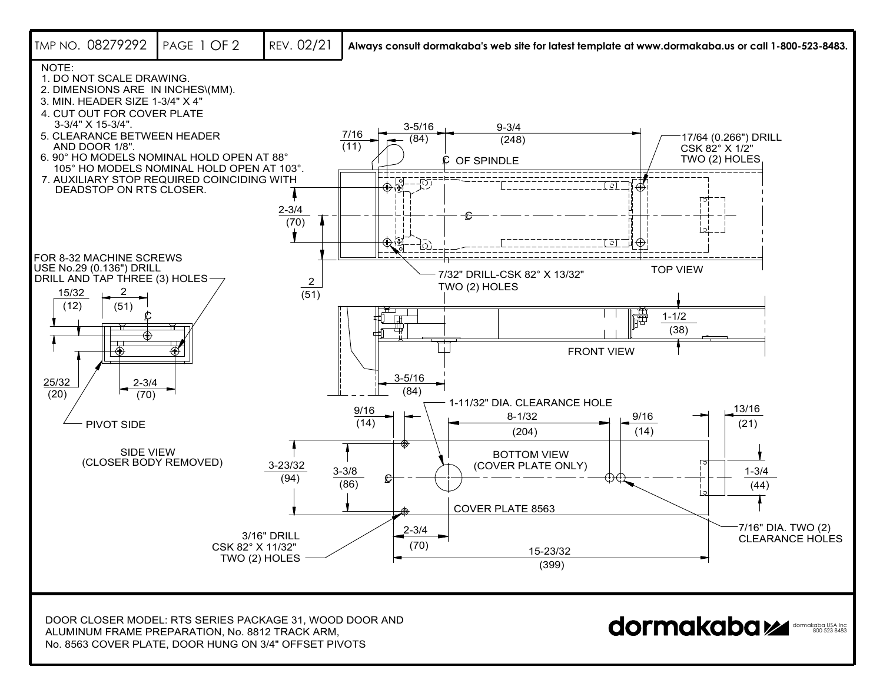